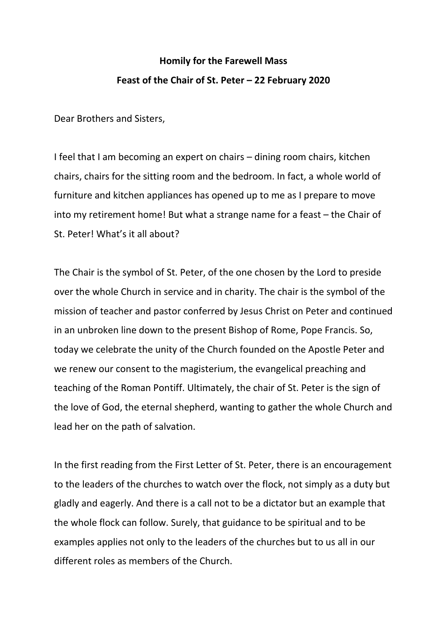## **Homily for the Farewell Mass Feast of the Chair of St. Peter – 22 February 2020**

Dear Brothers and Sisters,

I feel that I am becoming an expert on chairs – dining room chairs, kitchen chairs, chairs for the sitting room and the bedroom. In fact, a whole world of furniture and kitchen appliances has opened up to me as I prepare to move into my retirement home! But what a strange name for a feast – the Chair of St. Peter! What's it all about?

The Chair is the symbol of St. Peter, of the one chosen by the Lord to preside over the whole Church in service and in charity. The chair is the symbol of the mission of teacher and pastor conferred by Jesus Christ on Peter and continued in an unbroken line down to the present Bishop of Rome, Pope Francis. So, today we celebrate the unity of the Church founded on the Apostle Peter and we renew our consent to the magisterium, the evangelical preaching and teaching of the Roman Pontiff. Ultimately, the chair of St. Peter is the sign of the love of God, the eternal shepherd, wanting to gather the whole Church and lead her on the path of salvation.

In the first reading from the First Letter of St. Peter, there is an encouragement to the leaders of the churches to watch over the flock, not simply as a duty but gladly and eagerly. And there is a call not to be a dictator but an example that the whole flock can follow. Surely, that guidance to be spiritual and to be examples applies not only to the leaders of the churches but to us all in our different roles as members of the Church.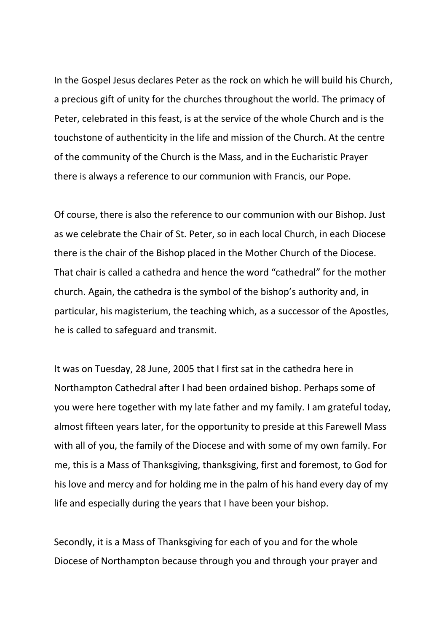In the Gospel Jesus declares Peter as the rock on which he will build his Church, a precious gift of unity for the churches throughout the world. The primacy of Peter, celebrated in this feast, is at the service of the whole Church and is the touchstone of authenticity in the life and mission of the Church. At the centre of the community of the Church is the Mass, and in the Eucharistic Prayer there is always a reference to our communion with Francis, our Pope.

Of course, there is also the reference to our communion with our Bishop. Just as we celebrate the Chair of St. Peter, so in each local Church, in each Diocese there is the chair of the Bishop placed in the Mother Church of the Diocese. That chair is called a cathedra and hence the word "cathedral" for the mother church. Again, the cathedra is the symbol of the bishop's authority and, in particular, his magisterium, the teaching which, as a successor of the Apostles, he is called to safeguard and transmit.

It was on Tuesday, 28 June, 2005 that I first sat in the cathedra here in Northampton Cathedral after I had been ordained bishop. Perhaps some of you were here together with my late father and my family. I am grateful today, almost fifteen years later, for the opportunity to preside at this Farewell Mass with all of you, the family of the Diocese and with some of my own family. For me, this is a Mass of Thanksgiving, thanksgiving, first and foremost, to God for his love and mercy and for holding me in the palm of his hand every day of my life and especially during the years that I have been your bishop.

Secondly, it is a Mass of Thanksgiving for each of you and for the whole Diocese of Northampton because through you and through your prayer and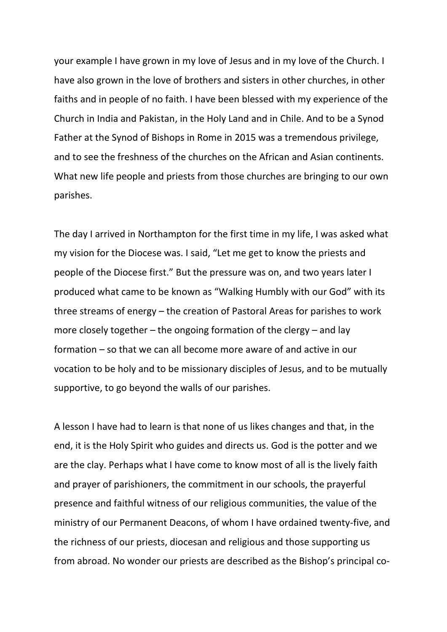your example I have grown in my love of Jesus and in my love of the Church. I have also grown in the love of brothers and sisters in other churches, in other faiths and in people of no faith. I have been blessed with my experience of the Church in India and Pakistan, in the Holy Land and in Chile. And to be a Synod Father at the Synod of Bishops in Rome in 2015 was a tremendous privilege, and to see the freshness of the churches on the African and Asian continents. What new life people and priests from those churches are bringing to our own parishes.

The day I arrived in Northampton for the first time in my life, I was asked what my vision for the Diocese was. I said, "Let me get to know the priests and people of the Diocese first." But the pressure was on, and two years later I produced what came to be known as "Walking Humbly with our God" with its three streams of energy – the creation of Pastoral Areas for parishes to work more closely together – the ongoing formation of the clergy – and lay formation – so that we can all become more aware of and active in our vocation to be holy and to be missionary disciples of Jesus, and to be mutually supportive, to go beyond the walls of our parishes.

A lesson I have had to learn is that none of us likes changes and that, in the end, it is the Holy Spirit who guides and directs us. God is the potter and we are the clay. Perhaps what I have come to know most of all is the lively faith and prayer of parishioners, the commitment in our schools, the prayerful presence and faithful witness of our religious communities, the value of the ministry of our Permanent Deacons, of whom I have ordained twenty-five, and the richness of our priests, diocesan and religious and those supporting us from abroad. No wonder our priests are described as the Bishop's principal co